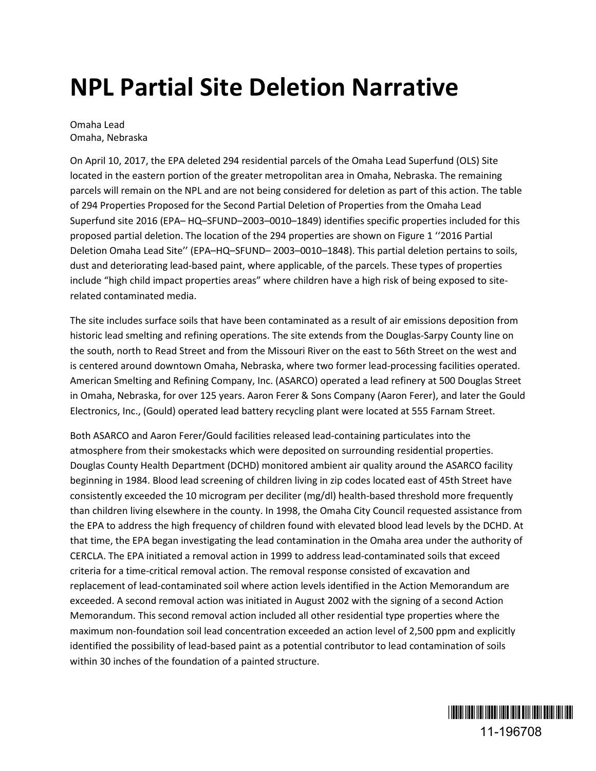## **NPL Partial Site Deletion Narrative**

Omaha Lead Omaha, Nebraska

On April 10, 2017, the EPA deleted 294 residential parcels of the Omaha Lead Superfund (OLS) Site located in the eastern portion of the greater metropolitan area in Omaha, Nebraska. The remaining parcels will remain on the NPL and are not being considered for deletion as part of this action. The table of 294 Properties Proposed for the Second Partial Deletion of Properties from the Omaha Lead Superfund site 2016 (EPA– HQ–SFUND–2003–0010–1849) identifies specific properties included for this proposed partial deletion. The location of the 294 properties are shown on Figure 1 ''2016 Partial Deletion Omaha Lead Site'' (EPA–HQ–SFUND– 2003–0010–1848). This partial deletion pertains to soils, dust and deteriorating lead-based paint, where applicable, of the parcels. These types of properties include "high child impact properties areas" where children have a high risk of being exposed to siterelated contaminated media.

The site includes surface soils that have been contaminated as a result of air emissions deposition from historic lead smelting and refining operations. The site extends from the Douglas-Sarpy County line on the south, north to Read Street and from the Missouri River on the east to 56th Street on the west and is centered around downtown Omaha, Nebraska, where two former lead-processing facilities operated. American Smelting and Refining Company, Inc. (ASARCO) operated a lead refinery at 500 Douglas Street in Omaha, Nebraska, for over 125 years. Aaron Ferer & Sons Company (Aaron Ferer), and later the Gould Electronics, Inc., (Gould) operated lead battery recycling plant were located at 555 Farnam Street.

Both ASARCO and Aaron Ferer/Gould facilities released lead-containing particulates into the atmosphere from their smokestacks which were deposited on surrounding residential properties. Douglas County Health Department (DCHD) monitored ambient air quality around the ASARCO facility beginning in 1984. Blood lead screening of children living in zip codes located east of 45th Street have consistently exceeded the 10 microgram per deciliter (mg/dl) health-based threshold more frequently than children living elsewhere in the county. In 1998, the Omaha City Council requested assistance from the EPA to address the high frequency of children found with elevated blood lead levels by the DCHD. At that time, the EPA began investigating the lead contamination in the Omaha area under the authority of CERCLA. The EPA initiated a removal action in 1999 to address lead-contaminated soils that exceed criteria for a time-critical removal action. The removal response consisted of excavation and replacement of lead-contaminated soil where action levels identified in the Action Memorandum are exceeded. A second removal action was initiated in August 2002 with the signing of a second Action Memorandum. This second removal action included all other residential type properties where the maximum non-foundation soil lead concentration exceeded an action level of 2,500 ppm and explicitly identified the possibility of lead-based paint as a potential contributor to lead contamination of soils within 30 inches of the foundation of a painted structure.